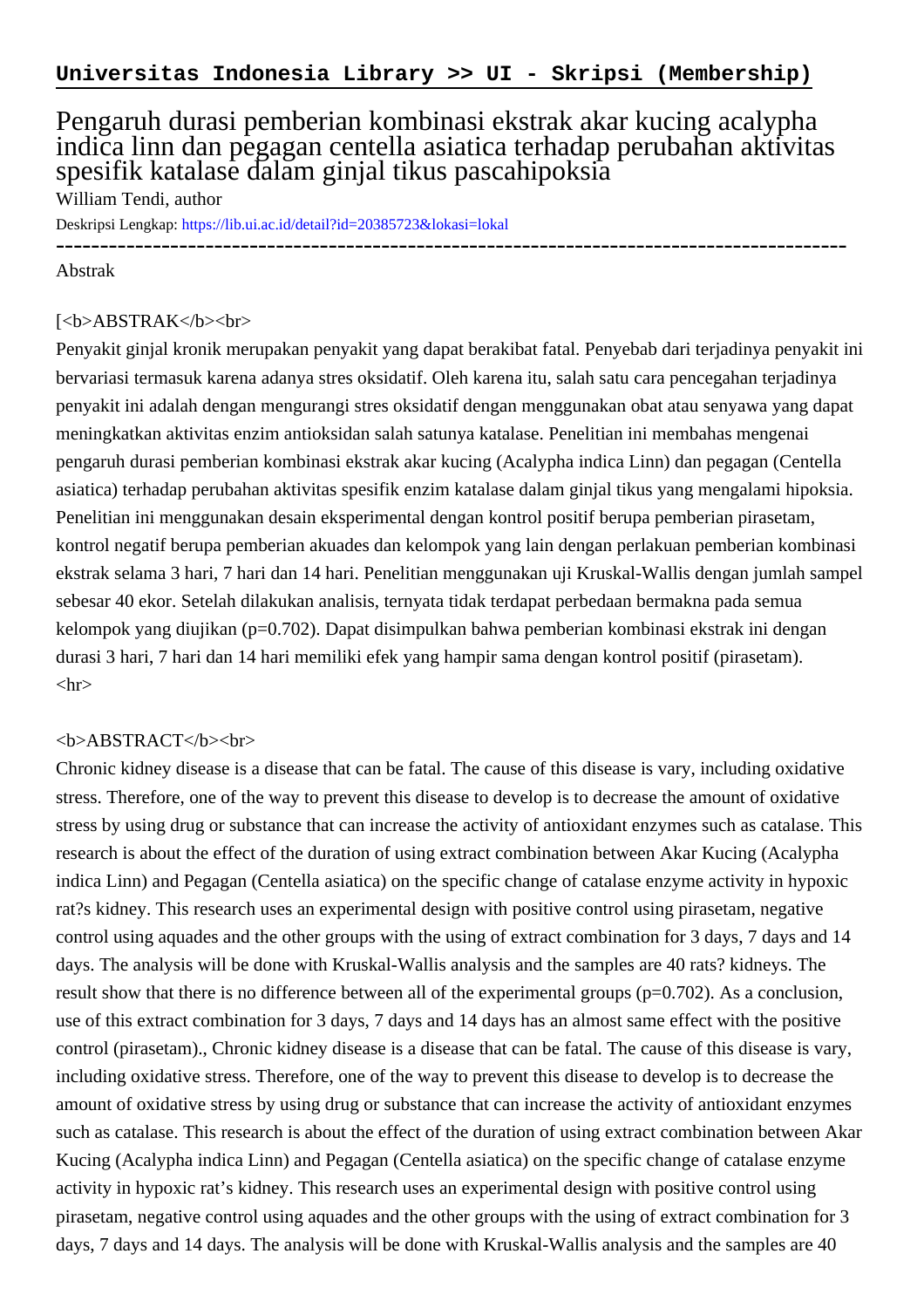## Pengaruh durasi pemberian kombinasi ekstrak akar kucing acalypha indica linn dan pegagan centella asiatica terhadap perubahan aktivitas spesifik katalase dalam ginjal tikus pascahipoksia

William Tendi, author

Deskripsi Lengkap:<https://lib.ui.ac.id/detail?id=20385723&lokasi=lokal>

------------------------------------------------------------------------------------------ Abstrak

## [<b>ABSTRAK</b><br/>shr>

Penyakit ginjal kronik merupakan penyakit yang dapat berakibat fatal. Penyebab dari terjadinya penyakit ini bervariasi termasuk karena adanya stres oksidatif. Oleh karena itu, salah satu cara pencegahan terjadinya penyakit ini adalah dengan mengurangi stres oksidatif dengan menggunakan obat atau senyawa yang dapat meningkatkan aktivitas enzim antioksidan salah satunya katalase. Penelitian ini membahas mengenai pengaruh durasi pemberian kombinasi ekstrak akar kucing (Acalypha indica Linn) dan pegagan (Centella asiatica) terhadap perubahan aktivitas spesifik enzim katalase dalam ginjal tikus yang mengalami hipoksia. Penelitian ini menggunakan desain eksperimental dengan kontrol positif berupa pemberian pirasetam, kontrol negatif berupa pemberian akuades dan kelompok yang lain dengan perlakuan pemberian kombinasi ekstrak selama 3 hari, 7 hari dan 14 hari. Penelitian menggunakan uji Kruskal-Wallis dengan jumlah sampel sebesar 40 ekor. Setelah dilakukan analisis, ternyata tidak terdapat perbedaan bermakna pada semua kelompok yang diujikan (p=0.702). Dapat disimpulkan bahwa pemberian kombinasi ekstrak ini dengan durasi 3 hari, 7 hari dan 14 hari memiliki efek yang hampir sama dengan kontrol positif (pirasetam).  $\langle$ hr $>$ 

## <b>ABSTRACT</b><br>

Chronic kidney disease is a disease that can be fatal. The cause of this disease is vary, including oxidative stress. Therefore, one of the way to prevent this disease to develop is to decrease the amount of oxidative stress by using drug or substance that can increase the activity of antioxidant enzymes such as catalase. This research is about the effect of the duration of using extract combination between Akar Kucing (Acalypha indica Linn) and Pegagan (Centella asiatica) on the specific change of catalase enzyme activity in hypoxic rat?s kidney. This research uses an experimental design with positive control using pirasetam, negative control using aquades and the other groups with the using of extract combination for 3 days, 7 days and 14 days. The analysis will be done with Kruskal-Wallis analysis and the samples are 40 rats? kidneys. The result show that there is no difference between all of the experimental groups (p=0.702). As a conclusion, use of this extract combination for 3 days, 7 days and 14 days has an almost same effect with the positive control (pirasetam)., Chronic kidney disease is a disease that can be fatal. The cause of this disease is vary, including oxidative stress. Therefore, one of the way to prevent this disease to develop is to decrease the amount of oxidative stress by using drug or substance that can increase the activity of antioxidant enzymes such as catalase. This research is about the effect of the duration of using extract combination between Akar Kucing (Acalypha indica Linn) and Pegagan (Centella asiatica) on the specific change of catalase enzyme activity in hypoxic rat's kidney. This research uses an experimental design with positive control using pirasetam, negative control using aquades and the other groups with the using of extract combination for 3 days, 7 days and 14 days. The analysis will be done with Kruskal-Wallis analysis and the samples are 40